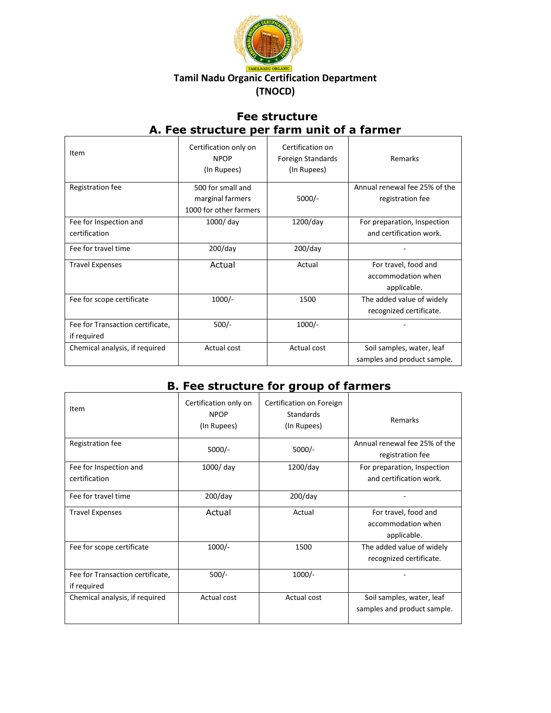

## **Fee structure A. Fee structure per farm unit of a farmer**

| Item                             | Certification only on<br><b>NPOP</b><br>(In Rupees) | Certification on<br>Foreign Standards<br>(In Rupees) | Remarks                       |
|----------------------------------|-----------------------------------------------------|------------------------------------------------------|-------------------------------|
| Registration fee                 | 500 for small and                                   |                                                      | Annual renewal fee 25% of the |
|                                  | marginal farmers                                    | $5000/-$                                             | registration fee              |
|                                  | 1000 for other farmers                              |                                                      |                               |
| Fee for Inspection and           | 1000/day                                            | $1200$ /day                                          | For preparation, Inspection   |
| certification                    |                                                     |                                                      | and certification work.       |
| Fee for travel time              | $200$ /day                                          | $200$ /day                                           |                               |
| <b>Travel Expenses</b>           | Actual                                              | Actual                                               | For travel, food and          |
|                                  |                                                     |                                                      | accommodation when            |
|                                  |                                                     |                                                      | applicable.                   |
| Fee for scope certificate        | $1000/-$                                            | 1500                                                 | The added value of widely     |
|                                  |                                                     |                                                      | recognized certificate.       |
| Fee for Transaction certificate, | $500/-$                                             | $1000/-$                                             |                               |
| if required                      |                                                     |                                                      |                               |
| Chemical analysis, if required   | Actual cost                                         | Actual cost                                          | Soil samples, water, leaf     |
|                                  |                                                     |                                                      | samples and product sample.   |

## **B. Fee structure for group of farmers**

| Item                                            | Certification only on<br><b>NPOP</b><br>(In Rupees) | Certification on Foreign<br>Standards<br>(In Rupees) | Remarks                                                   |
|-------------------------------------------------|-----------------------------------------------------|------------------------------------------------------|-----------------------------------------------------------|
| Registration fee                                | $5000/-$                                            | $5000/-$                                             | Annual renewal fee 25% of the<br>registration fee         |
| Fee for Inspection and<br>certification         | 1000/day                                            | $1200$ /day                                          | For preparation, Inspection<br>and certification work.    |
| Fee for travel time                             | $200$ /day                                          | $200$ /day                                           |                                                           |
| <b>Travel Expenses</b>                          | Actual                                              | Actual                                               | For travel, food and<br>accommodation when<br>applicable. |
| Fee for scope certificate                       | $1000/-$                                            | 1500                                                 | The added value of widely<br>recognized certificate.      |
| Fee for Transaction certificate,<br>if required | $500/-$                                             | $1000/-$                                             |                                                           |
| Chemical analysis, if required                  | Actual cost                                         | Actual cost                                          | Soil samples, water, leaf<br>samples and product sample.  |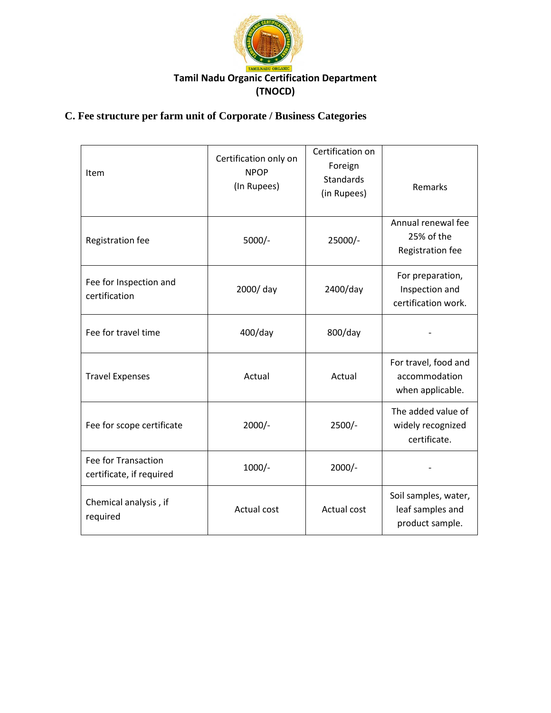

## **C. Fee structure per farm unit of Corporate / Business Categories**

| Item                                            | Certification only on<br><b>NPOP</b><br>(In Rupees) | Certification on<br>Foreign<br><b>Standards</b><br>(in Rupees) | Remarks                                                     |
|-------------------------------------------------|-----------------------------------------------------|----------------------------------------------------------------|-------------------------------------------------------------|
| Registration fee                                | $5000/-$                                            | 25000/-                                                        | Annual renewal fee<br>25% of the<br>Registration fee        |
| Fee for Inspection and<br>certification         | 2000/day                                            | 2400/day                                                       | For preparation,<br>Inspection and<br>certification work.   |
| Fee for travel time                             | 400/day                                             | 800/day                                                        |                                                             |
| <b>Travel Expenses</b>                          | Actual                                              | Actual                                                         | For travel, food and<br>accommodation<br>when applicable.   |
| Fee for scope certificate                       | $2000/-$                                            | $2500/-$                                                       | The added value of<br>widely recognized<br>certificate.     |
| Fee for Transaction<br>certificate, if required | $1000/-$                                            | $2000/-$                                                       |                                                             |
| Chemical analysis, if<br>required               | <b>Actual cost</b>                                  | Actual cost                                                    | Soil samples, water,<br>leaf samples and<br>product sample. |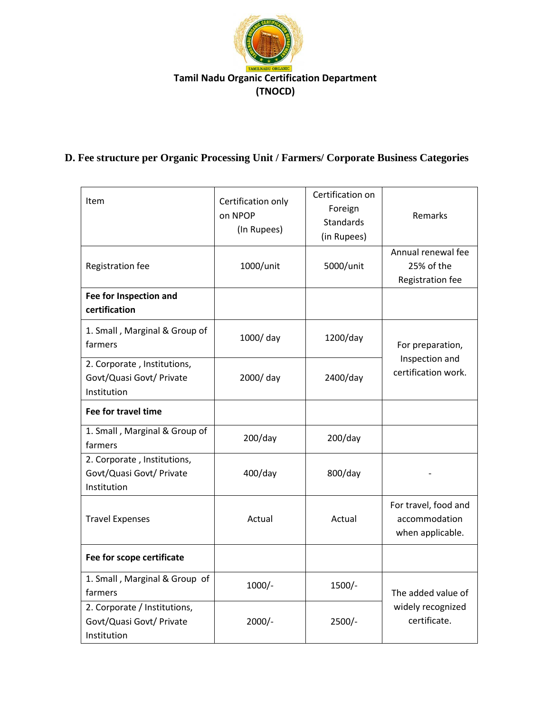

# **D. Fee structure per Organic Processing Unit / Farmers/ Corporate Business Categories**

| Item                                                                    | Certification only<br>on NPOP<br>(In Rupees) | Certification on<br>Foreign<br><b>Standards</b><br>(in Rupees) | Remarks                                                   |
|-------------------------------------------------------------------------|----------------------------------------------|----------------------------------------------------------------|-----------------------------------------------------------|
| Registration fee                                                        | 1000/unit                                    | 5000/unit                                                      | Annual renewal fee<br>25% of the<br>Registration fee      |
| Fee for Inspection and<br>certification                                 |                                              |                                                                |                                                           |
| 1. Small, Marginal & Group of<br>farmers                                | 1000/ day                                    | 1200/day                                                       | For preparation,                                          |
| 2. Corporate, Institutions,<br>Govt/Quasi Govt/ Private<br>Institution  | 2000/ day                                    | 2400/day                                                       | Inspection and<br>certification work.                     |
| Fee for travel time                                                     |                                              |                                                                |                                                           |
| 1. Small, Marginal & Group of<br>farmers                                | $200$ /day                                   | $200$ /day                                                     |                                                           |
| 2. Corporate, Institutions,<br>Govt/Quasi Govt/ Private<br>Institution  | $400$ /day                                   | 800/day                                                        |                                                           |
| <b>Travel Expenses</b>                                                  | Actual                                       | Actual                                                         | For travel, food and<br>accommodation<br>when applicable. |
| Fee for scope certificate                                               |                                              |                                                                |                                                           |
| 1. Small, Marginal & Group of<br>farmers                                | $1000/-$                                     | 1500/-                                                         | The added value of                                        |
| 2. Corporate / Institutions,<br>Govt/Quasi Govt/ Private<br>Institution | $2000/-$                                     | $2500/-$                                                       | widely recognized<br>certificate.                         |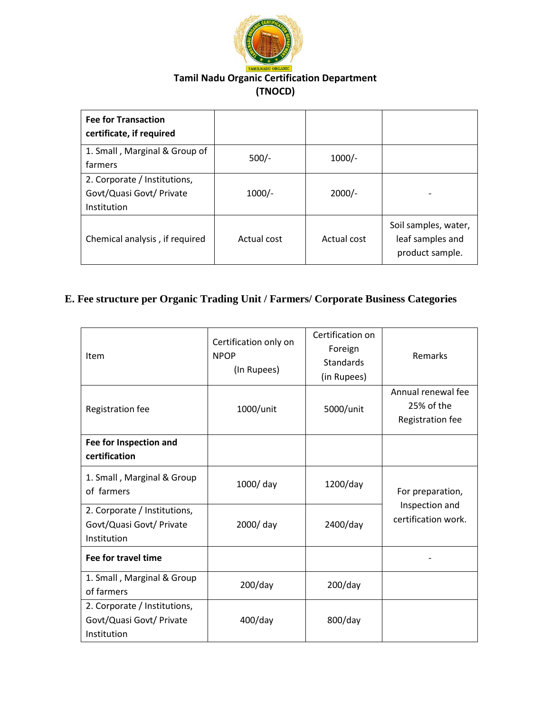

| <b>Fee for Transaction</b><br>certificate, if required                  |             |             |                                                             |
|-------------------------------------------------------------------------|-------------|-------------|-------------------------------------------------------------|
| 1. Small, Marginal & Group of<br>farmers                                | $500/-$     | $1000/-$    |                                                             |
| 2. Corporate / Institutions,<br>Govt/Quasi Govt/ Private<br>Institution | $1000/-$    | $2000/-$    |                                                             |
| Chemical analysis, if required                                          | Actual cost | Actual cost | Soil samples, water,<br>leaf samples and<br>product sample. |

## **E. Fee structure per Organic Trading Unit / Farmers/ Corporate Business Categories**

| Item                                                                    | Certification only on<br><b>NPOP</b><br>(In Rupees) | Certification on<br>Foreign<br><b>Standards</b><br>(in Rupees) | Remarks                                              |
|-------------------------------------------------------------------------|-----------------------------------------------------|----------------------------------------------------------------|------------------------------------------------------|
| Registration fee                                                        | 1000/unit                                           | 5000/unit                                                      | Annual renewal fee<br>25% of the<br>Registration fee |
| Fee for Inspection and<br>certification                                 |                                                     |                                                                |                                                      |
| 1. Small, Marginal & Group<br>of farmers                                | 1000/day                                            | $1200$ /day                                                    | For preparation,                                     |
| 2. Corporate / Institutions,<br>Govt/Quasi Govt/ Private<br>Institution | 2000/ day                                           | 2400/day                                                       | Inspection and<br>certification work.                |
| Fee for travel time                                                     |                                                     |                                                                |                                                      |
| 1. Small, Marginal & Group<br>of farmers                                | $200$ /day                                          | $200$ /day                                                     |                                                      |
| 2. Corporate / Institutions,<br>Govt/Quasi Govt/ Private<br>Institution | 400/day                                             | 800/day                                                        |                                                      |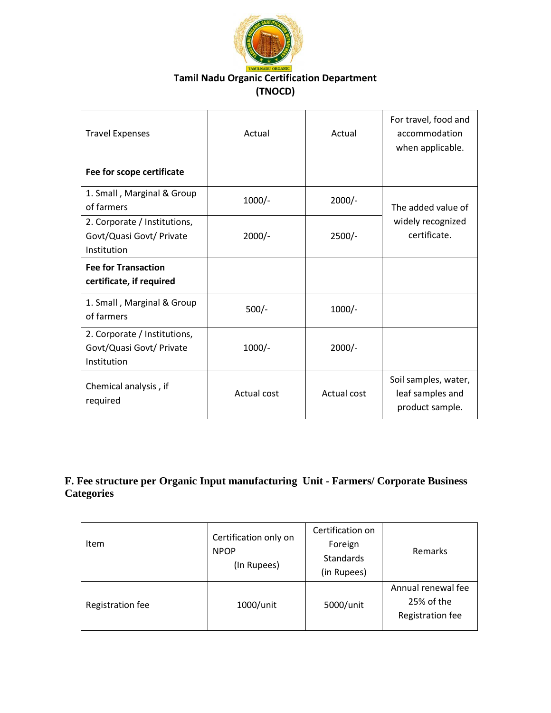

| <b>Travel Expenses</b>                                                  | Actual      | Actual      | For travel, food and<br>accommodation<br>when applicable.   |
|-------------------------------------------------------------------------|-------------|-------------|-------------------------------------------------------------|
| Fee for scope certificate                                               |             |             |                                                             |
| 1. Small, Marginal & Group<br>of farmers                                | $1000/-$    | $2000/-$    | The added value of<br>widely recognized<br>certificate.     |
| 2. Corporate / Institutions,<br>Govt/Quasi Govt/ Private<br>Institution | $2000/-$    | $2500/-$    |                                                             |
| <b>Fee for Transaction</b><br>certificate, if required                  |             |             |                                                             |
| 1. Small, Marginal & Group<br>of farmers                                | $500/-$     | $1000/-$    |                                                             |
| 2. Corporate / Institutions,<br>Govt/Quasi Govt/ Private<br>Institution | $1000/-$    | $2000/-$    |                                                             |
| Chemical analysis, if<br>required                                       | Actual cost | Actual cost | Soil samples, water,<br>leaf samples and<br>product sample. |

#### **F. Fee structure per Organic Input manufacturing Unit - Farmers/ Corporate Business Categories**

| Item             | Certification only on<br><b>NPOP</b><br>(In Rupees) | Certification on<br>Foreign<br>Standards<br>(in Rupees) | Remarks                                              |
|------------------|-----------------------------------------------------|---------------------------------------------------------|------------------------------------------------------|
| Registration fee | 1000/unit                                           | 5000/unit                                               | Annual renewal fee<br>25% of the<br>Registration fee |